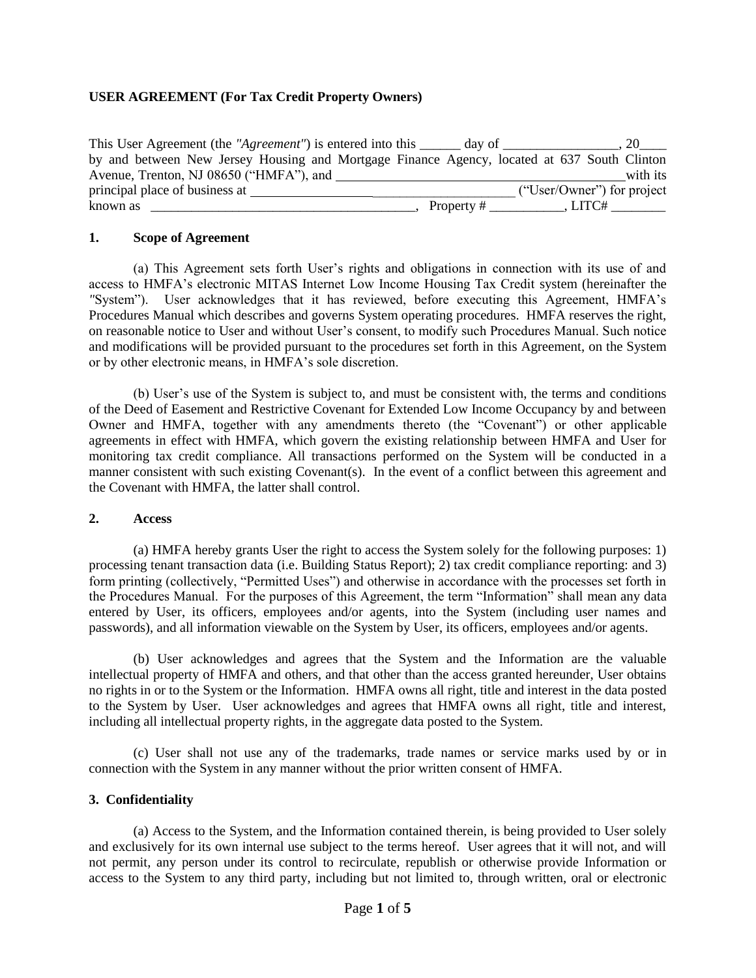### **USER AGREEMENT (For Tax Credit Property Owners)**

| This User Agreement (the "Agreement") is entered into this _______ day of ____ |                                                                                             | 20       |
|--------------------------------------------------------------------------------|---------------------------------------------------------------------------------------------|----------|
|                                                                                | by and between New Jersey Housing and Mortgage Finance Agency, located at 637 South Clinton |          |
| Avenue, Trenton, NJ 08650 ("HMFA"), and                                        |                                                                                             | with its |
| principal place of business at                                                 | ("User/Owner") for project                                                                  |          |
| known as                                                                       | Property #<br>LITC#                                                                         |          |

#### **1. Scope of Agreement**

(a) This Agreement sets forth User's rights and obligations in connection with its use of and access to HMFA's electronic MITAS Internet Low Income Housing Tax Credit system (hereinafter the *"*System"). User acknowledges that it has reviewed, before executing this Agreement, HMFA's Procedures Manual which describes and governs System operating procedures. HMFA reserves the right, on reasonable notice to User and without User's consent, to modify such Procedures Manual. Such notice and modifications will be provided pursuant to the procedures set forth in this Agreement, on the System or by other electronic means, in HMFA's sole discretion.

(b) User's use of the System is subject to, and must be consistent with, the terms and conditions of the Deed of Easement and Restrictive Covenant for Extended Low Income Occupancy by and between Owner and HMFA, together with any amendments thereto (the "Covenant") or other applicable agreements in effect with HMFA, which govern the existing relationship between HMFA and User for monitoring tax credit compliance. All transactions performed on the System will be conducted in a manner consistent with such existing Covenant(s). In the event of a conflict between this agreement and the Covenant with HMFA, the latter shall control.

#### **2. Access**

(a) HMFA hereby grants User the right to access the System solely for the following purposes: 1) processing tenant transaction data (i.e. Building Status Report); 2) tax credit compliance reporting: and 3) form printing (collectively, "Permitted Uses") and otherwise in accordance with the processes set forth in the Procedures Manual. For the purposes of this Agreement, the term "Information" shall mean any data entered by User, its officers, employees and/or agents, into the System (including user names and passwords), and all information viewable on the System by User, its officers, employees and/or agents.

(b) User acknowledges and agrees that the System and the Information are the valuable intellectual property of HMFA and others, and that other than the access granted hereunder, User obtains no rights in or to the System or the Information. HMFA owns all right, title and interest in the data posted to the System by User. User acknowledges and agrees that HMFA owns all right, title and interest, including all intellectual property rights, in the aggregate data posted to the System.

(c) User shall not use any of the trademarks, trade names or service marks used by or in connection with the System in any manner without the prior written consent of HMFA.

#### **3. Confidentiality**

(a) Access to the System, and the Information contained therein, is being provided to User solely and exclusively for its own internal use subject to the terms hereof. User agrees that it will not, and will not permit, any person under its control to recirculate, republish or otherwise provide Information or access to the System to any third party, including but not limited to, through written, oral or electronic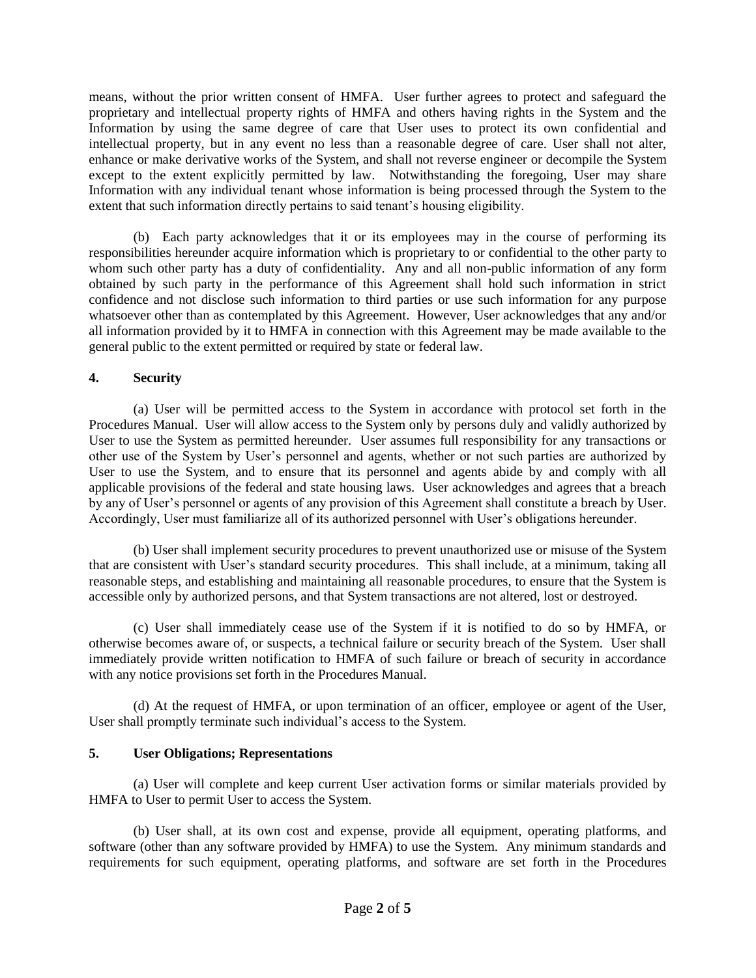means, without the prior written consent of HMFA. User further agrees to protect and safeguard the proprietary and intellectual property rights of HMFA and others having rights in the System and the Information by using the same degree of care that User uses to protect its own confidential and intellectual property, but in any event no less than a reasonable degree of care. User shall not alter, enhance or make derivative works of the System, and shall not reverse engineer or decompile the System except to the extent explicitly permitted by law. Notwithstanding the foregoing, User may share Information with any individual tenant whose information is being processed through the System to the extent that such information directly pertains to said tenant's housing eligibility.

(b) Each party acknowledges that it or its employees may in the course of performing its responsibilities hereunder acquire information which is proprietary to or confidential to the other party to whom such other party has a duty of confidentiality. Any and all non-public information of any form obtained by such party in the performance of this Agreement shall hold such information in strict confidence and not disclose such information to third parties or use such information for any purpose whatsoever other than as contemplated by this Agreement. However, User acknowledges that any and/or all information provided by it to HMFA in connection with this Agreement may be made available to the general public to the extent permitted or required by state or federal law.

## **4. Security**

(a) User will be permitted access to the System in accordance with protocol set forth in the Procedures Manual. User will allow access to the System only by persons duly and validly authorized by User to use the System as permitted hereunder. User assumes full responsibility for any transactions or other use of the System by User's personnel and agents, whether or not such parties are authorized by User to use the System, and to ensure that its personnel and agents abide by and comply with all applicable provisions of the federal and state housing laws. User acknowledges and agrees that a breach by any of User's personnel or agents of any provision of this Agreement shall constitute a breach by User. Accordingly, User must familiarize all of its authorized personnel with User's obligations hereunder.

(b) User shall implement security procedures to prevent unauthorized use or misuse of the System that are consistent with User's standard security procedures. This shall include, at a minimum, taking all reasonable steps, and establishing and maintaining all reasonable procedures, to ensure that the System is accessible only by authorized persons, and that System transactions are not altered, lost or destroyed.

(c) User shall immediately cease use of the System if it is notified to do so by HMFA, or otherwise becomes aware of, or suspects, a technical failure or security breach of the System. User shall immediately provide written notification to HMFA of such failure or breach of security in accordance with any notice provisions set forth in the Procedures Manual.

(d) At the request of HMFA, or upon termination of an officer, employee or agent of the User, User shall promptly terminate such individual's access to the System.

# **5. User Obligations; Representations**

(a) User will complete and keep current User activation forms or similar materials provided by HMFA to User to permit User to access the System.

(b) User shall, at its own cost and expense, provide all equipment, operating platforms, and software (other than any software provided by HMFA) to use the System. Any minimum standards and requirements for such equipment, operating platforms, and software are set forth in the Procedures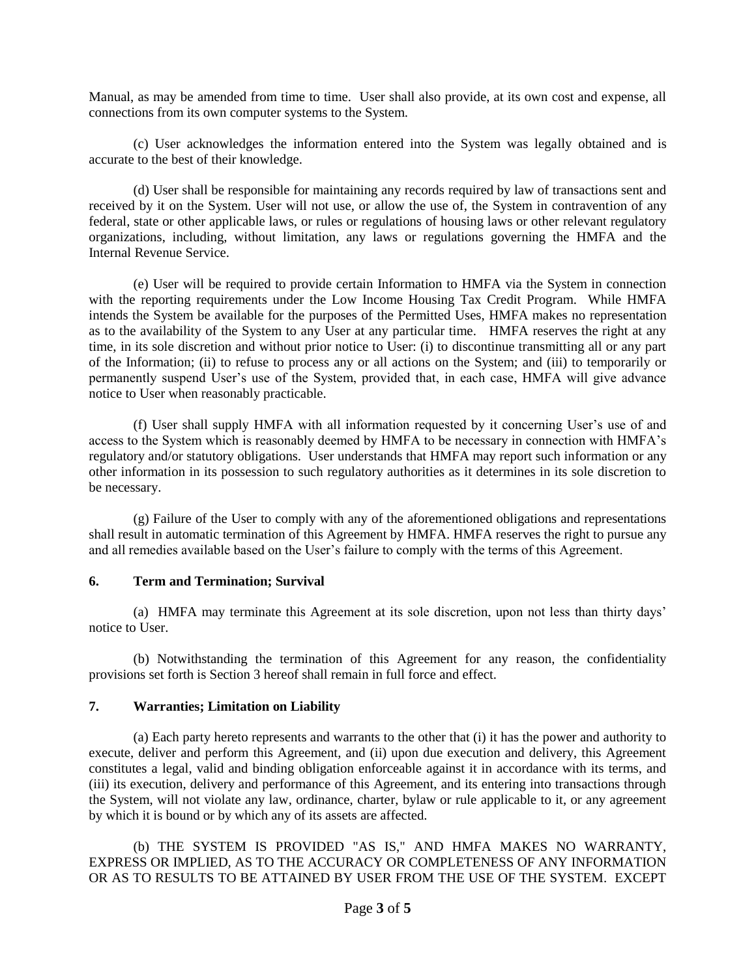Manual, as may be amended from time to time. User shall also provide, at its own cost and expense, all connections from its own computer systems to the System.

(c) User acknowledges the information entered into the System was legally obtained and is accurate to the best of their knowledge.

(d) User shall be responsible for maintaining any records required by law of transactions sent and received by it on the System. User will not use, or allow the use of, the System in contravention of any federal, state or other applicable laws, or rules or regulations of housing laws or other relevant regulatory organizations, including, without limitation, any laws or regulations governing the HMFA and the Internal Revenue Service.

(e) User will be required to provide certain Information to HMFA via the System in connection with the reporting requirements under the Low Income Housing Tax Credit Program. While HMFA intends the System be available for the purposes of the Permitted Uses, HMFA makes no representation as to the availability of the System to any User at any particular time. HMFA reserves the right at any time, in its sole discretion and without prior notice to User: (i) to discontinue transmitting all or any part of the Information; (ii) to refuse to process any or all actions on the System; and (iii) to temporarily or permanently suspend User's use of the System, provided that, in each case, HMFA will give advance notice to User when reasonably practicable.

(f) User shall supply HMFA with all information requested by it concerning User's use of and access to the System which is reasonably deemed by HMFA to be necessary in connection with HMFA's regulatory and/or statutory obligations. User understands that HMFA may report such information or any other information in its possession to such regulatory authorities as it determines in its sole discretion to be necessary.

(g) Failure of the User to comply with any of the aforementioned obligations and representations shall result in automatic termination of this Agreement by HMFA. HMFA reserves the right to pursue any and all remedies available based on the User's failure to comply with the terms of this Agreement.

#### **6. Term and Termination; Survival**

(a) HMFA may terminate this Agreement at its sole discretion, upon not less than thirty days' notice to User.

(b) Notwithstanding the termination of this Agreement for any reason, the confidentiality provisions set forth is Section 3 hereof shall remain in full force and effect.

## **7. Warranties; Limitation on Liability**

(a) Each party hereto represents and warrants to the other that (i) it has the power and authority to execute, deliver and perform this Agreement, and (ii) upon due execution and delivery, this Agreement constitutes a legal, valid and binding obligation enforceable against it in accordance with its terms, and (iii) its execution, delivery and performance of this Agreement, and its entering into transactions through the System, will not violate any law, ordinance, charter, bylaw or rule applicable to it, or any agreement by which it is bound or by which any of its assets are affected.

(b) THE SYSTEM IS PROVIDED "AS IS," AND HMFA MAKES NO WARRANTY, EXPRESS OR IMPLIED, AS TO THE ACCURACY OR COMPLETENESS OF ANY INFORMATION OR AS TO RESULTS TO BE ATTAINED BY USER FROM THE USE OF THE SYSTEM. EXCEPT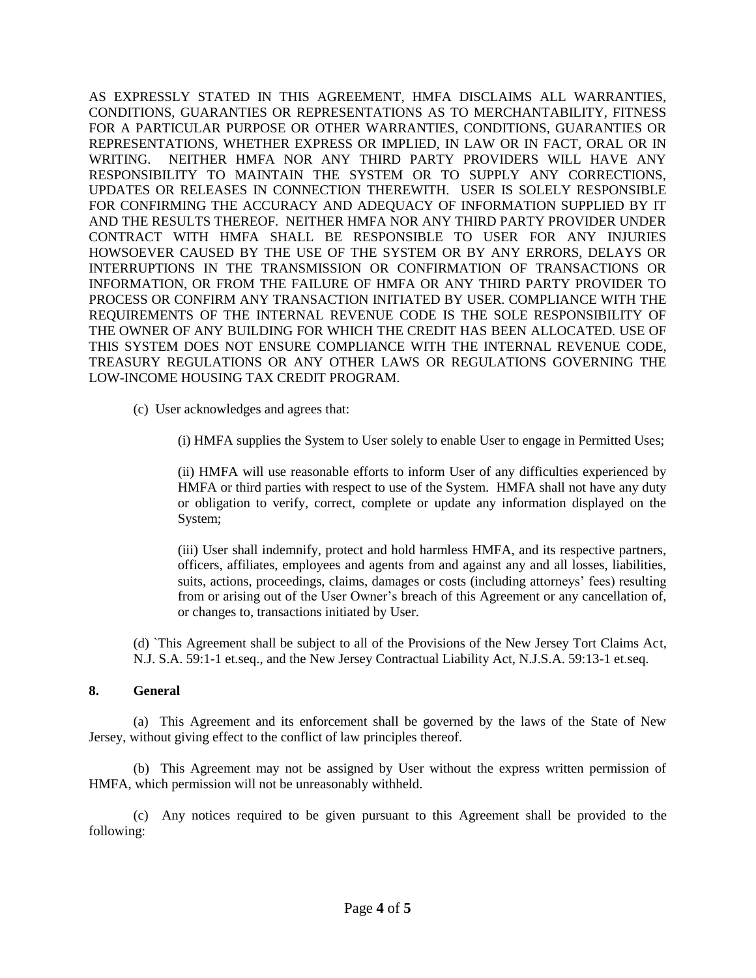AS EXPRESSLY STATED IN THIS AGREEMENT, HMFA DISCLAIMS ALL WARRANTIES, CONDITIONS, GUARANTIES OR REPRESENTATIONS AS TO MERCHANTABILITY, FITNESS FOR A PARTICULAR PURPOSE OR OTHER WARRANTIES, CONDITIONS, GUARANTIES OR REPRESENTATIONS, WHETHER EXPRESS OR IMPLIED, IN LAW OR IN FACT, ORAL OR IN WRITING. NEITHER HMFA NOR ANY THIRD PARTY PROVIDERS WILL HAVE ANY RESPONSIBILITY TO MAINTAIN THE SYSTEM OR TO SUPPLY ANY CORRECTIONS, UPDATES OR RELEASES IN CONNECTION THEREWITH. USER IS SOLELY RESPONSIBLE FOR CONFIRMING THE ACCURACY AND ADEQUACY OF INFORMATION SUPPLIED BY IT AND THE RESULTS THEREOF. NEITHER HMFA NOR ANY THIRD PARTY PROVIDER UNDER CONTRACT WITH HMFA SHALL BE RESPONSIBLE TO USER FOR ANY INJURIES HOWSOEVER CAUSED BY THE USE OF THE SYSTEM OR BY ANY ERRORS, DELAYS OR INTERRUPTIONS IN THE TRANSMISSION OR CONFIRMATION OF TRANSACTIONS OR INFORMATION, OR FROM THE FAILURE OF HMFA OR ANY THIRD PARTY PROVIDER TO PROCESS OR CONFIRM ANY TRANSACTION INITIATED BY USER. COMPLIANCE WITH THE REQUIREMENTS OF THE INTERNAL REVENUE CODE IS THE SOLE RESPONSIBILITY OF THE OWNER OF ANY BUILDING FOR WHICH THE CREDIT HAS BEEN ALLOCATED. USE OF THIS SYSTEM DOES NOT ENSURE COMPLIANCE WITH THE INTERNAL REVENUE CODE, TREASURY REGULATIONS OR ANY OTHER LAWS OR REGULATIONS GOVERNING THE LOW-INCOME HOUSING TAX CREDIT PROGRAM.

- (c) User acknowledges and agrees that:
	- (i) HMFA supplies the System to User solely to enable User to engage in Permitted Uses;

(ii) HMFA will use reasonable efforts to inform User of any difficulties experienced by HMFA or third parties with respect to use of the System. HMFA shall not have any duty or obligation to verify, correct, complete or update any information displayed on the System;

(iii) User shall indemnify, protect and hold harmless HMFA, and its respective partners, officers, affiliates, employees and agents from and against any and all losses, liabilities, suits, actions, proceedings, claims, damages or costs (including attorneys' fees) resulting from or arising out of the User Owner's breach of this Agreement or any cancellation of, or changes to, transactions initiated by User.

(d) `This Agreement shall be subject to all of the Provisions of the New Jersey Tort Claims Act, N.J. S.A. 59:1-1 et.seq., and the New Jersey Contractual Liability Act, N.J.S.A. 59:13-1 et.seq.

#### **8. General**

(a) This Agreement and its enforcement shall be governed by the laws of the State of New Jersey, without giving effect to the conflict of law principles thereof.

(b) This Agreement may not be assigned by User without the express written permission of HMFA, which permission will not be unreasonably withheld.

(c) Any notices required to be given pursuant to this Agreement shall be provided to the following: